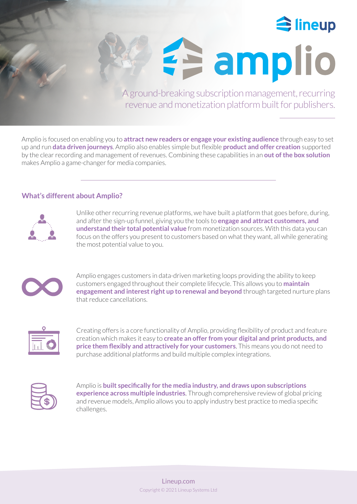

**Famplio** 

A ground-breaking subscription management, recurring revenue and monetization platform built for publishers.

Amplio is focused on enabling you to **attract new readers or engage your existing audience** through easy to set up and run **data driven journeys**. Amplio also enables simple but flexible **product and offer creation** supported by the clear recording and management of revenues. Combining these capabilities in an **out of the box solution** makes Amplio a game-changer for media companies.

# **What's different about Amplio?**



Unlike other recurring revenue platforms, we have built a platform that goes before, during, and after the sign-up funnel, giving you the tools to **engage and attract customers, and understand their total potential value** from monetization sources. With this data you can focus on the offers you present to customers based on what they want, all while generating the most potential value to you.



Amplio engages customers in data-driven marketing loops providing the ability to keep customers engaged throughout their complete lifecycle. This allows you to **maintain engagement and interest right up to renewal and beyond** through targeted nurture plans that reduce cancellations.



Creating offers is a core functionality of Amplio, providing flexibility of product and feature creation which makes it easy to **create an offer from your digital and print products, and price them flexibly and attractively for your customers**. This means you do not need to purchase additional platforms and build multiple complex integrations.



Amplio is **built specifically for the media industry, and draws upon subscriptions experience across multiple industries**. Through comprehensive review of global pricing and revenue models, Amplio allows you to apply industry best practice to media specific challenges.